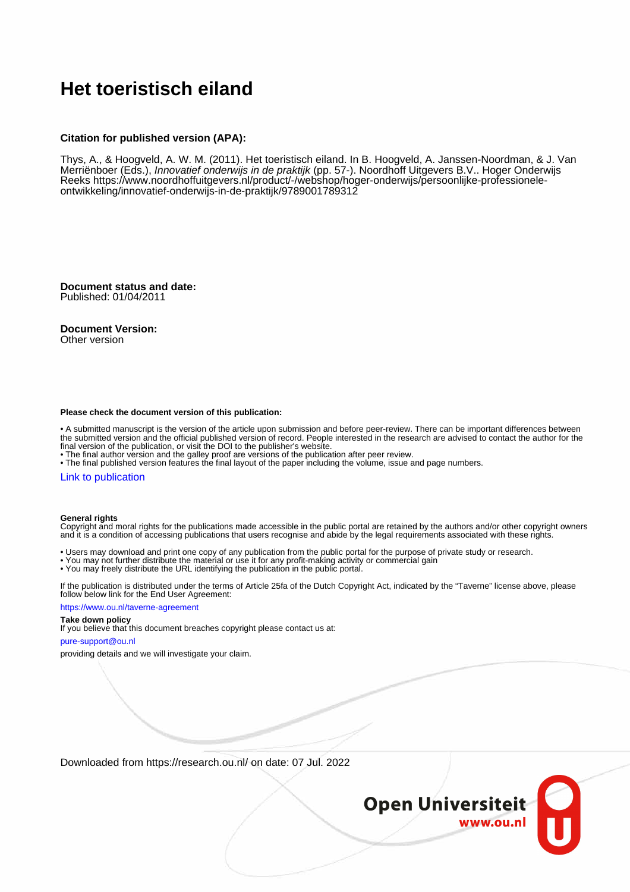# **Het toeristisch eiland**

### **Citation for published version (APA):**

Thys, A., & Hoogveld, A. W. M. (2011). Het toeristisch eiland. In B. Hoogveld, A. Janssen-Noordman, & J. Van Merriënboer (Eds.), *Innovatief onderwijs in de praktijk* (pp. 57-). Noordhoff Uitgevers B.V.. Hoger Onderwijs Reeks [https://www.noordhoffuitgevers.nl/product/-/webshop/hoger-onderwijs/persoonlijke-professionele](https://www.noordhoffuitgevers.nl/product/-/webshop/hoger-onderwijs/persoonlijke-professionele-ontwikkeling/innovatief-onderwijs-in-de-praktijk/9789001789312)[ontwikkeling/innovatief-onderwijs-in-de-praktijk/9789001789312](https://www.noordhoffuitgevers.nl/product/-/webshop/hoger-onderwijs/persoonlijke-professionele-ontwikkeling/innovatief-onderwijs-in-de-praktijk/9789001789312)

**Document status and date:** Published: 01/04/2011

**Document Version:**

Other version

#### **Please check the document version of this publication:**

• A submitted manuscript is the version of the article upon submission and before peer-review. There can be important differences between the submitted version and the official published version of record. People interested in the research are advised to contact the author for the final version of the publication, or visit the DOI to the publisher's website.

• The final author version and the galley proof are versions of the publication after peer review.

• The final published version features the final layout of the paper including the volume, issue and page numbers.

## [Link to publication](https://research.ou.nl/en/publications/03b64b88-2b37-48e9-bb1b-c450093eca38)

#### **General rights**

Copyright and moral rights for the publications made accessible in the public portal are retained by the authors and/or other copyright owners and it is a condition of accessing publications that users recognise and abide by the legal requirements associated with these rights.

- Users may download and print one copy of any publication from the public portal for the purpose of private study or research.
- You may not further distribute the material or use it for any profit-making activity or commercial gain
- You may freely distribute the URL identifying the publication in the public portal.

If the publication is distributed under the terms of Article 25fa of the Dutch Copyright Act, indicated by the "Taverne" license above, please follow below link for the End User Agreement:

#### https://www.ou.nl/taverne-agreement

# **Take down policy**

If you believe that this document breaches copyright please contact us at:

#### pure-support@ou.nl

providing details and we will investigate your claim.

Downloaded from https://research.ou.nl/ on date: 07 Jul. 2022